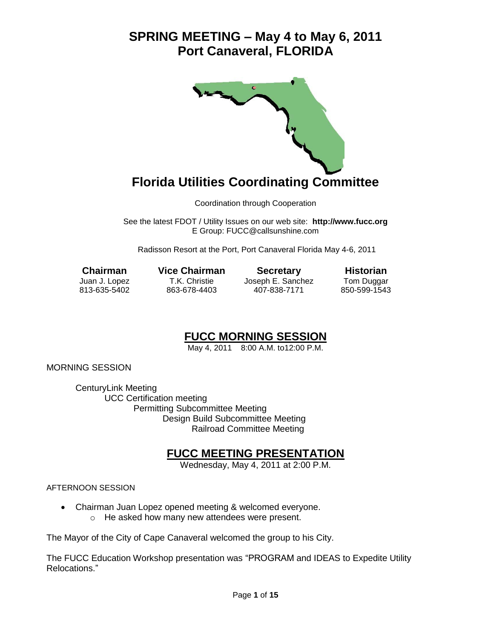

## **Florida Utilities Coordinating Committee**

Coordination through Cooperation

See the latest FDOT / Utility Issues on our web site: **[http://www.fucc.org](http://www.fucc.org/)** E Group: [FUCC@callsunshine.com](mailto:FUCC@callsunshine.com)

Radisson Resort at the Port, Port Canaveral Florida May 4-6, 2011

**Chairman Vice Chairman Secretary Historian** Juan J. Lopez T.K. Christie Joseph E. Sanchez Tom Duggar 813-635-5402 863-678-4403 407-838-7171 850-599-1543

### **FUCC MORNING SESSION**

May 4, 2011 8:00 A.M. to12:00 P.M.

MORNING SESSION

CenturyLink Meeting UCC Certification meeting Permitting Subcommittee Meeting Design Build Subcommittee Meeting Railroad Committee Meeting

### **FUCC MEETING PRESENTATION**

Wednesday, May 4, 2011 at 2:00 P.M.

AFTERNOON SESSION

 Chairman Juan Lopez opened meeting & welcomed everyone. o He asked how many new attendees were present.

The Mayor of the City of Cape Canaveral welcomed the group to his City.

The FUCC Education Workshop presentation was "PROGRAM and IDEAS to Expedite Utility Relocations."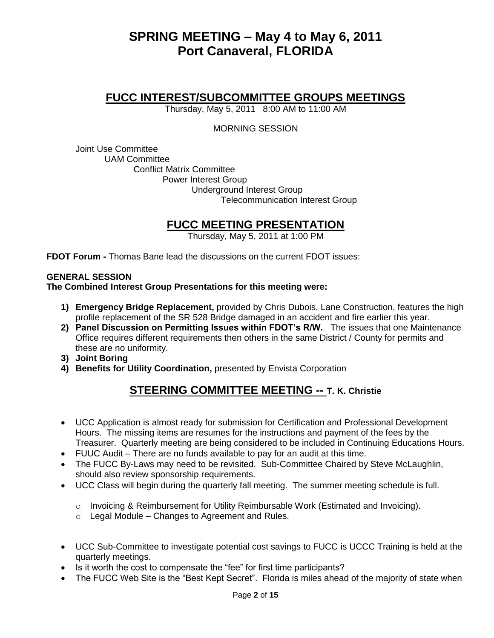### **FUCC INTEREST/SUBCOMMITTEE GROUPS MEETINGS**

Thursday, May 5, 2011 8:00 AM to 11:00 AM

#### MORNING SESSION

Joint Use Committee UAM Committee Conflict Matrix Committee Power Interest Group Underground Interest Group Telecommunication Interest Group

### **FUCC MEETING PRESENTATION**

Thursday, May 5, 2011 at 1:00 PM

**FDOT Forum -** Thomas Bane lead the discussions on the current FDOT issues:

#### **GENERAL SESSION**

#### **The Combined Interest Group Presentations for this meeting were:**

- **1) Emergency Bridge Replacement,** provided by Chris Dubois, Lane Construction, features the high profile replacement of the SR 528 Bridge damaged in an accident and fire earlier this year.
- **2) Panel Discussion on Permitting Issues within FDOT's R/W.** The issues that one Maintenance Office requires different requirements then others in the same District / County for permits and these are no uniformity.
- **3) Joint Boring**
- **4) Benefits for Utility Coordination,** presented by Envista Corporation

### **STEERING COMMITTEE MEETING -- T. K. Christie**

- UCC Application is almost ready for submission for Certification and Professional Development Hours. The missing items are resumes for the instructions and payment of the fees by the Treasurer. Quarterly meeting are being considered to be included in Continuing Educations Hours.
- FUUC Audit There are no funds available to pay for an audit at this time.
- The FUCC By-Laws may need to be revisited. Sub-Committee Chaired by Steve McLaughlin, should also review sponsorship requirements.
- UCC Class will begin during the quarterly fall meeting. The summer meeting schedule is full.
	- o Invoicing & Reimbursement for Utility Reimbursable Work (Estimated and Invoicing).
	- $\circ$  Legal Module Changes to Agreement and Rules.
- UCC Sub-Committee to investigate potential cost savings to FUCC is UCCC Training is held at the quarterly meetings.
- quarterly ineedings.<br>Is it worth the cost to compensate the "fee" for first time participants?
- The FUCC Web Site is the "Best Kept Secret". Florida is miles ahead of the majority of state when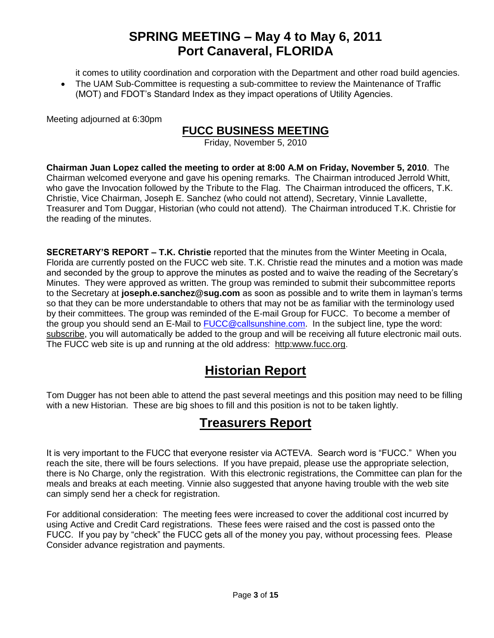it comes to utility coordination and corporation with the Department and other road build agencies.

 The UAM Sub-Committee is requesting a sub-committee to review the Maintenance of Traffic (MOT) and FDOT's Standard Index as they impact operations of Utility Agencies.

Meeting adjourned at 6:30pm

### **FUCC BUSINESS MEETING**

Friday, November 5, 2010

**Chairman Juan Lopez called the meeting to order at 8:00 A.M on Friday, November 5, 2010**. The Chairman welcomed everyone and gave his opening remarks. The Chairman introduced Jerrold Whitt, who gave the Invocation followed by the Tribute to the Flag. The Chairman introduced the officers, T.K. Christie, Vice Chairman, Joseph E. Sanchez (who could not attend), Secretary, Vinnie Lavallette, Treasurer and Tom Duggar, Historian (who could not attend). The Chairman introduced T.K. Christie for the reading of the minutes.

**SECRETARY'S REPORT – T.K. Christie** reported that the minutes from the Winter Meeting in Ocala, Florida are currently posted on the FUCC web site. T.K. Christie read the minutes and a motion was made and seconded by the group to approve the minutes as posted and to waive the reading of the Secretary's Minutes. They were approved as written. The group was reminded to submit their subcommittee reports to the Secretary at **[joseph.e.sanchez@sug.com](mailto:joseph.e.sanchez@sug.com)** as soon as possible and to write them in layman's terms so that they can be more understandable to others that may not be as familiar with the terminology used by their committees. The group was reminded of the E-mail Group for FUCC. To become a member of the group you should send an E-Mail to [FUCC@callsunshine.com.](mailto:FUCC@callsunshine.com) In the subject line, type the word: subscribe, you will automatically be added to the group and will be receiving all future electronic mail outs. The FUCC web site is up and running at the old address: http:www.fucc.org.

### **Historian Report**

Tom Dugger has not been able to attend the past several meetings and this position may need to be filling with a new Historian. These are big shoes to fill and this position is not to be taken lightly.

### **Treasurers Report**

It is very important to the FUCC that everyone resister via ACTEVA. Search word is "FUCC." When you reach the site, there will be fours selections. If you have prepaid, please use the appropriate selection, there is No Charge, only the registration. With this electronic registrations, the Committee can plan for the meals and breaks at each meeting. Vinnie also suggested that anyone having trouble with the web site can simply send her a check for registration.

For additional consideration: The meeting fees were increased to cover the additional cost incurred by using Active and Credit Card registrations. These fees were raised and the cost is passed onto the FUCC. If you pay by "check" the FUCC gets all of the money you pay, without processing fees. Please Consider advance registration and payments.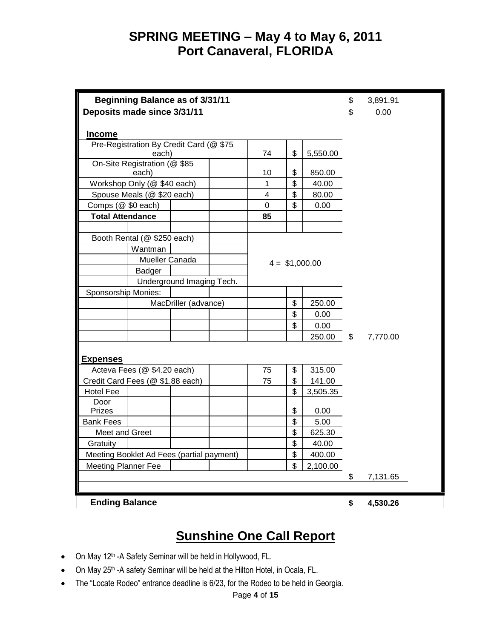| <b>Beginning Balance as of 3/31/11</b><br>Deposits made since 3/31/11 |                |                      |          |                     |        |          | \$<br>\$     | 3,891.91<br>0.00 |
|-----------------------------------------------------------------------|----------------|----------------------|----------|---------------------|--------|----------|--------------|------------------|
|                                                                       |                |                      |          |                     |        |          |              |                  |
| <b>Income</b>                                                         |                |                      |          |                     |        |          |              |                  |
| Pre-Registration By Credit Card (@ \$75<br>each)                      |                |                      |          |                     |        |          |              |                  |
|                                                                       | 74             | \$                   | 5,550.00 |                     |        |          |              |                  |
| On-Site Registration (@ \$85<br>each)                                 |                |                      |          |                     |        |          |              |                  |
|                                                                       |                |                      |          | 10                  | \$     | 850.00   |              |                  |
| Workshop Only (@ \$40 each)                                           |                |                      |          | 1<br>$\overline{4}$ | \$     | 40.00    |              |                  |
| Spouse Meals (@ \$20 each)                                            |                |                      |          | \$                  | 80.00  |          |              |                  |
| Comps (@ \$0 each)                                                    |                |                      |          | $\mathbf 0$         | \$     | 0.00     |              |                  |
| <b>Total Attendance</b>                                               |                |                      |          | 85                  |        |          |              |                  |
|                                                                       |                |                      |          |                     |        |          |              |                  |
| Booth Rental (@ \$250 each)                                           |                |                      |          |                     |        |          |              |                  |
|                                                                       | Wantman        |                      |          |                     |        |          |              |                  |
|                                                                       | Mueller Canada |                      |          | $4 = $1,000.00$     |        |          |              |                  |
|                                                                       | Badger         |                      |          |                     |        |          |              |                  |
| Underground Imaging Tech.                                             |                |                      |          |                     |        |          |              |                  |
| Sponsorship Monies:                                                   |                |                      |          |                     |        |          |              |                  |
|                                                                       |                | MacDriller (advance) |          |                     | \$     | 250.00   |              |                  |
|                                                                       |                |                      |          |                     | \$     | 0.00     |              |                  |
|                                                                       |                |                      |          |                     | \$     | 0.00     |              |                  |
|                                                                       |                |                      |          |                     |        | 250.00   | $\mathbb{S}$ | 7,770.00         |
|                                                                       |                |                      |          |                     |        |          |              |                  |
| <b>Expenses</b>                                                       |                |                      |          |                     |        |          |              |                  |
| Acteva Fees (@ \$4.20 each)                                           |                |                      |          | 75                  | \$     | 315.00   |              |                  |
| Credit Card Fees (@ \$1.88 each)                                      |                |                      | 75       | \$                  | 141.00 |          |              |                  |
| <b>Hotel Fee</b>                                                      |                |                      |          |                     | \$     | 3,505.35 |              |                  |
| Door                                                                  |                |                      |          |                     |        |          |              |                  |
| Prizes                                                                |                |                      |          |                     | \$     | 0.00     |              |                  |
| <b>Bank Fees</b>                                                      |                |                      |          |                     | \$     | 5.00     |              |                  |
| Meet and Greet                                                        |                |                      |          |                     | \$     | 625.30   |              |                  |
| Gratuity                                                              |                |                      |          |                     | \$     | 40.00    |              |                  |
| Meeting Booklet Ad Fees (partial payment)<br>\$<br>400.00             |                |                      |          |                     |        |          |              |                  |
| \$<br><b>Meeting Planner Fee</b>                                      |                |                      |          |                     |        | 2,100.00 |              |                  |
|                                                                       |                |                      |          |                     |        |          | \$           | 7,131.65         |
|                                                                       |                |                      |          |                     |        |          |              |                  |
| <b>Ending Balance</b>                                                 |                |                      |          |                     |        |          | \$           | 4,530.26         |

## **Sunshine One Call Report**

- On May 12<sup>th</sup> -A Safety Seminar will be held in Hollywood, FL.
- On May 25<sup>th</sup> -A safety Seminar will be held at the Hilton Hotel, in Ocala, FL.
- The "Locate Rodeo" entrance deadline is 6/23, for the Rodeo to be held in Georgia.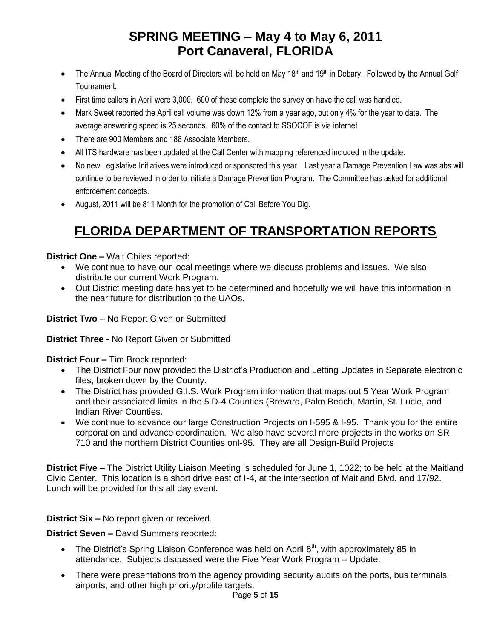- The Annual Meeting of the Board of Directors will be held on May 18<sup>th</sup> and 19<sup>th</sup> in Debary. Followed by the Annual Golf Tournament.
- First time callers in April were 3,000. 600 of these complete the survey on have the call was handled.
- Mark Sweet reported the April call volume was down 12% from a year ago, but only 4% for the year to date. The average answering speed is 25 seconds. 60% of the contact to SSOCOF is via internet
- There are 900 Members and 188 Associate Members.
- All ITS hardware has been updated at the Call Center with mapping referenced included in the update.
- No new Legislative Initiatives were introduced or sponsored this year. Last year a Damage Prevention Law was abs will continue to be reviewed in order to initiate a Damage Prevention Program. The Committee has asked for additional enforcement concepts.
- August, 2011 will be 811 Month for the promotion of Call Before You Dig.

# **FLORIDA DEPARTMENT OF TRANSPORTATION REPORTS**

### **District One –** Walt Chiles reported:

- We continue to have our local meetings where we discuss problems and issues. We also distribute our current Work Program.
- Out District meeting date has yet to be determined and hopefully we will have this information in the near future for distribution to the UAOs.

**District Two** – No Report Given or Submitted

**District Three -** No Report Given or Submitted

**District Four –** Tim Brock reported:

- The District Four now provided the District's Production and Letting Updates in Separate electronic files, broken down by the County.
- The District has provided G.I.S. Work Program information that maps out 5 Year Work Program and their associated limits in the 5 D-4 Counties (Brevard, Palm Beach, Martin, St. Lucie, and Indian River Counties.
- We continue to advance our large Construction Projects on I-595 & I-95. Thank you for the entire corporation and advance coordination. We also have several more projects in the works on SR 710 and the northern District Counties onI-95. They are all Design-Build Projects

**District Five –** The District Utility Liaison Meeting is scheduled for June 1, 1022; to be held at the Maitland Civic Center. This location is a short drive east of I-4, at the intersection of Maitland Blvd. and 17/92. Lunch will be provided for this all day event.

**District Six –** No report given or received.

**District Seven –** David Summers reported:

- The District's Spring Liaison Conference was held on April  $8<sup>th</sup>$ , with approximately 85 in attendance. Subjects discussed were the Five Year Work Program – Update.
- There were presentations from the agency providing security audits on the ports, bus terminals, airports, and other high priority/profile targets.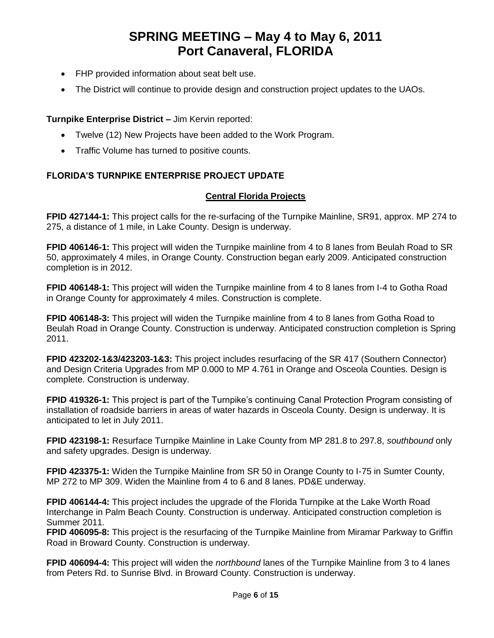- FHP provided information about seat belt use.
- The District will continue to provide design and construction project updates to the UAOs.

### **Turnpike Enterprise District –** Jim Kervin reported:

- Twelve (12) New Projects have been added to the Work Program.
- Traffic Volume has turned to positive counts.

### **FLORIDA'S TURNPIKE ENTERPRISE PROJECT UPDATE**

### **Central Florida Projects**

**FPID 427144-1:** This project calls for the re-surfacing of the Turnpike Mainline, SR91, approx. MP 274 to 275, a distance of 1 mile, in Lake County. Design is underway.

**FPID 406146-1:** This project will widen the Turnpike mainline from 4 to 8 lanes from Beulah Road to SR 50, approximately 4 miles, in Orange County. Construction began early 2009. Anticipated construction completion is in 2012.

**FPID 406148-1:** This project will widen the Turnpike mainline from 4 to 8 lanes from I-4 to Gotha Road in Orange County for approximately 4 miles. Construction is complete.

**FPID 406148-3:** This project will widen the Turnpike mainline from 4 to 8 lanes from Gotha Road to Beulah Road in Orange County. Construction is underway. Anticipated construction completion is Spring 2011.

**FPID 423202-1&3/423203-1&3:** This project includes resurfacing of the SR 417 (Southern Connector) and Design Criteria Upgrades from MP 0.000 to MP 4.761 in Orange and Osceola Counties. Design is complete. Construction is underway.

**FPID 419326-1:** This project is part of the Turnpike's continuing Canal Protection Program consisting of installation of roadside barriers in areas of water hazards in Osceola County. Design is underway. It is anticipated to let in July 2011.

**FPID 423198-1:** Resurface Turnpike Mainline in Lake County from MP 281.8 to 297.8, *southbound* only and safety upgrades. Design is underway.

**FPID 423375-1:** Widen the Turnpike Mainline from SR 50 in Orange County to I-75 in Sumter County, MP 272 to MP 309. Widen the Mainline from 4 to 6 and 8 lanes. PD&E underway.

**FPID 406144-4:** This project includes the upgrade of the Florida Turnpike at the Lake Worth Road Interchange in Palm Beach County. Construction is underway. Anticipated construction completion is Summer 2011.

**FPID 406095-8:** This project is the resurfacing of the Turnpike Mainline from Miramar Parkway to Griffin Road in Broward County. Construction is underway.

**FPID 406094-4:** This project will widen the *northbound* lanes of the Turnpike Mainline from 3 to 4 lanes from Peters Rd. to Sunrise Blvd. in Broward County. Construction is underway.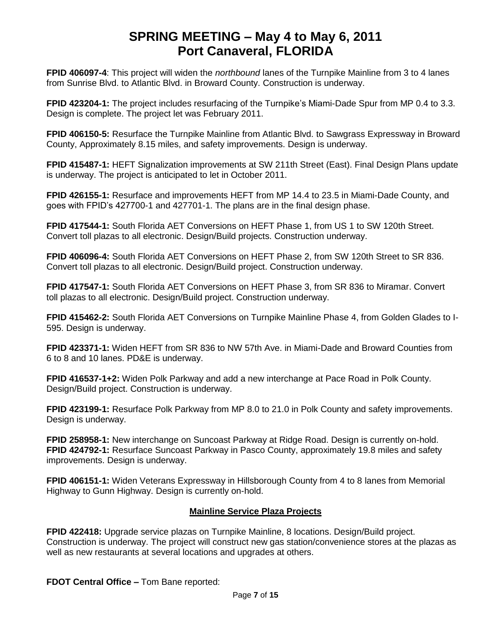**FPID 406097-4**: This project will widen the *northbound* lanes of the Turnpike Mainline from 3 to 4 lanes from Sunrise Blvd. to Atlantic Blvd. in Broward County. Construction is underway.

**FPID 423204-1:** The project includes resurfacing of the Turnpike's Miami-Dade Spur from MP 0.4 to 3.3. Design is complete. The project let was February 2011.

**FPID 406150-5:** Resurface the Turnpike Mainline from Atlantic Blvd. to Sawgrass Expressway in Broward County, Approximately 8.15 miles, and safety improvements. Design is underway.

**FPID 415487-1:** HEFT Signalization improvements at SW 211th Street (East). Final Design Plans update is underway. The project is anticipated to let in October 2011.

**FPID 426155-1:** Resurface and improvements HEFT from MP 14.4 to 23.5 in Miami-Dade County, and goes with FPID's 427700-1 and 427701-1. The plans are in the final design phase.

**FPID 417544-1:** South Florida AET Conversions on HEFT Phase 1, from US 1 to SW 120th Street. Convert toll plazas to all electronic. Design/Build projects. Construction underway.

**FPID 406096-4:** South Florida AET Conversions on HEFT Phase 2, from SW 120th Street to SR 836. Convert toll plazas to all electronic. Design/Build project. Construction underway.

**FPID 417547-1:** South Florida AET Conversions on HEFT Phase 3, from SR 836 to Miramar. Convert toll plazas to all electronic. Design/Build project. Construction underway.

**FPID 415462-2:** South Florida AET Conversions on Turnpike Mainline Phase 4, from Golden Glades to I-595. Design is underway.

**FPID 423371-1:** Widen HEFT from SR 836 to NW 57th Ave. in Miami-Dade and Broward Counties from 6 to 8 and 10 lanes. PD&E is underway.

**FPID 416537-1+2:** Widen Polk Parkway and add a new interchange at Pace Road in Polk County. Design/Build project. Construction is underway.

**FPID 423199-1:** Resurface Polk Parkway from MP 8.0 to 21.0 in Polk County and safety improvements. Design is underway.

**FPID 258958-1:** New interchange on Suncoast Parkway at Ridge Road. Design is currently on-hold. **FPID 424792-1:** Resurface Suncoast Parkway in Pasco County, approximately 19.8 miles and safety improvements. Design is underway.

**FPID 406151-1:** Widen Veterans Expressway in Hillsborough County from 4 to 8 lanes from Memorial Highway to Gunn Highway. Design is currently on-hold.

### **Mainline Service Plaza Projects**

**FPID 422418:** Upgrade service plazas on Turnpike Mainline, 8 locations. Design/Build project. Construction is underway. The project will construct new gas station/convenience stores at the plazas as well as new restaurants at several locations and upgrades at others.

**FDOT Central Office –** Tom Bane reported: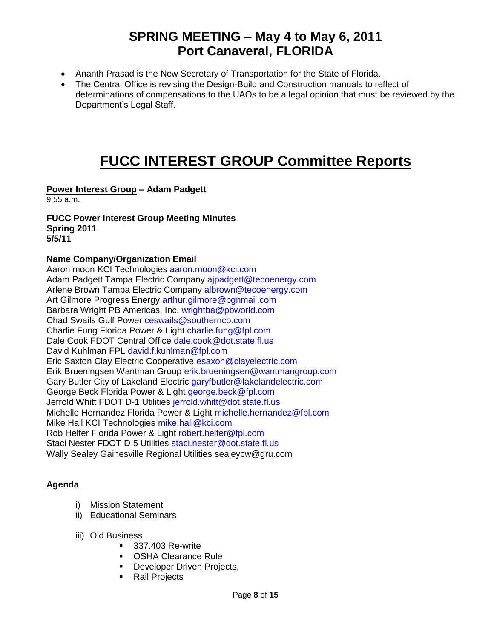- Ananth Prasad is the New Secretary of Transportation for the State of Florida.
- The Central Office is revising the Design-Build and Construction manuals to reflect of determinations of compensations to the UAOs to be a legal opinion that must be reviewed by the Department's Legal Staff.

# **FUCC INTEREST GROUP Committee Reports**

### **Power Interest Group – Adam Padgett**

9:55 a.m.

#### **FUCC Power Interest Group Meeting Minutes Spring 2011 5/5/11**

### **Name Company/Organization Email**

Aaron moon KCI Technologies aaron.moon@kci.com Adam Padgett Tampa Electric Company ajpadgett@tecoenergy.com Arlene Brown Tampa Electric Company albrown@tecoenergy.com Art Gilmore Progress Energy arthur.gilmore@pgnmail.com Barbara Wright PB Americas, Inc. wrightba@pbworld.com Chad Swails Gulf Power ceswails@southernco.com Charlie Fung Florida Power & Light charlie.fung@fpl.com Dale Cook FDOT Central Office dale.cook@dot.state.fl.us David Kuhlman FPL david.f.kuhlman@fpl.com Eric Saxton Clay Electric Cooperative esaxon@clayelectric.com Erik Brueningsen Wantman Group erik.brueningsen@wantmangroup.com Gary Butler City of Lakeland Electric garyfbutler@lakelandelectric.com George Beck Florida Power & Light george.beck@fpl.com Jerrold Whitt FDOT D-1 Utilities jerrold.whitt@dot.state.fl.us Michelle Hernandez Florida Power & Light michelle.hernandez@fpl.com Mike Hall KCI Technologies mike.hall@kci.com Rob Helfer Florida Power & Light robert.helfer@fpl.com Staci Nester FDOT D‐5 Utilities staci.nester@dot.state.fl.us Wally Sealey Gainesville Regional Utilities [sealeycw@gru.com](mailto:sealeycw@gru.com)

### **Agenda**

- i) Mission Statement
- ii) Educational Seminars
- iii) Old Business
	- 337.403 Re-write
	- OSHA Clearance Rule
	- **Developer Driven Projects,**
	- **Rail Projects**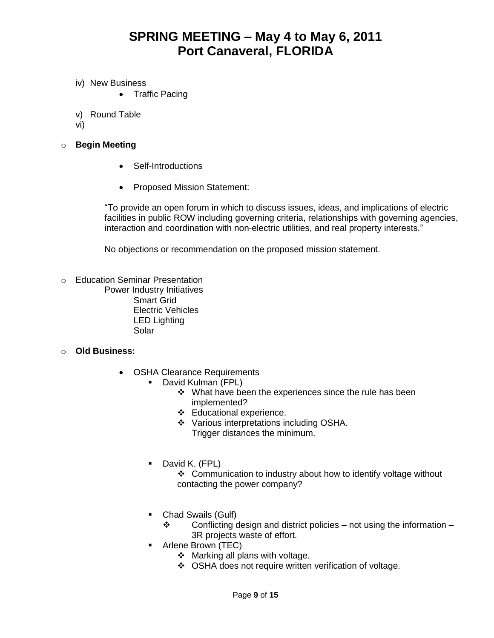- iv) New Business
	- Traffic Pacing
- v) Round Table
- vi)
- o **Begin Meeting**
	- Self-Introductions
	- Proposed Mission Statement:

"To provide an open forum in which to discuss issues, ideas, and implications of electric facilities in public ROW including governing criteria, relationships with governing agencies, interaction and coordination with non‐electric utilities, and real property interests."

No objections or recommendation on the proposed mission statement.

o Education Seminar Presentation Power Industry Initiatives Smart Grid Electric Vehicles LED Lighting Solar

### o **Old Business:**

- OSHA Clearance Requirements
	- **David Kulman (FPL)** 
		- $\cdot$  What have been the experiences since the rule has been implemented?
		- Educational experience.
		- ❖ Various interpretations including OSHA. Trigger distances the minimum.
	- **David K. (FPL)**

 Communication to industry about how to identify voltage without contacting the power company?

- Chad Swails (Gulf)
	- $\div$  Conflicting design and district policies not using the information 3R projects waste of effort.
- **Arlene Brown (TEC)** 
	- $\div$  Marking all plans with voltage.
	- ❖ OSHA does not require written verification of voltage.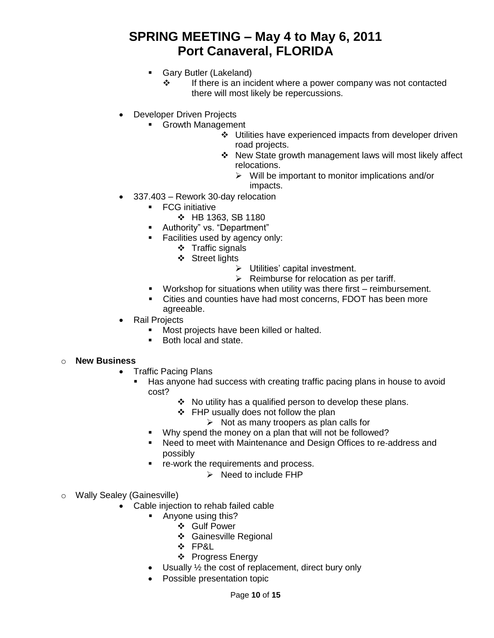- **Gary Butler (Lakeland)** 
	- $\cdot \cdot$  If there is an incident where a power company was not contacted there will most likely be repercussions.
- Developer Driven Projects
	- **Growth Management** 
		- Utilities have experienced impacts from developer driven road projects.
		- New State growth management laws will most likely affect relocations.
			- $\triangleright$  Will be important to monitor implications and/or impacts.
- 337.403 Rework 30‐day relocation
	- **FCG** initiative
		- $\div$  HB 1363, SB 1180
	- Authority" vs. "Department"
	- **Facilities used by agency only:** 
		- $\div$  Traffic signals
		- Street lights
			- > Utilities' capital investment.
			- $\triangleright$  Reimburse for relocation as per tariff.
	- Workshop for situations when utility was there first reimbursement.
	- Cities and counties have had most concerns, FDOT has been more agreeable.
- Rail Projects
	- **Most projects have been killed or halted.**
	- Both local and state.

#### o **New Business**

- Traffic Pacing Plans
	- Has anyone had success with creating traffic pacing plans in house to avoid cost?
		- $\div$  No utility has a qualified person to develop these plans.
		- ❖ FHP usually does not follow the plan
			- $\triangleright$  Not as many troopers as plan calls for
		- Why spend the money on a plan that will not be followed?
		- Need to meet with Maintenance and Design Offices to re-address and possibly
		- re‐work the requirements and process.
			- $\triangleright$  Need to include FHP
- o Wally Sealey (Gainesville)
	- Cable injection to rehab failed cable
		- Anyone using this?
			- Gulf Power
			- Gainesville Regional
			- FP&L
			- ❖ Progress Energy
		- $\bullet$  Usually  $\frac{1}{2}$  the cost of replacement, direct bury only
		- Possible presentation topic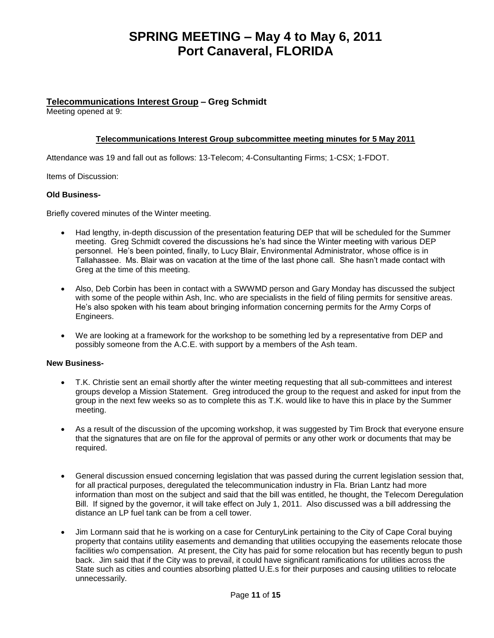#### **Telecommunications Interest Group – Greg Schmidt**

Meeting opened at 9:

#### **Telecommunications Interest Group subcommittee meeting minutes for 5 May 2011**

Attendance was 19 and fall out as follows: 13-Telecom; 4-Consultanting Firms; 1-CSX; 1-FDOT.

Items of Discussion:

#### **Old Business-**

Briefly covered minutes of the Winter meeting.

- Had lengthy, in-depth discussion of the presentation featuring DEP that will be scheduled for the Summer meeting. Greg Schmidt covered the discussions he's had since the Winter meeting with various DEP personnel. He's been pointed, finally, to Lucy Blair, Environmental Administrator, whose office is in Tallahassee. Ms. Blair was on vacation at the time of the last phone call. She hasn't made contact with Greg at the time of this meeting.
- Also, Deb Corbin has been in contact with a SWWMD person and Gary Monday has discussed the subject with some of the people within Ash, Inc. who are specialists in the field of filing permits for sensitive areas. He's also spoken with his team about bringing information concerning permits for the Army Corps of Engineers.
- We are looking at a framework for the workshop to be something led by a representative from DEP and possibly someone from the A.C.E. with support by a members of the Ash team.

#### **New Business-**

- T.K. Christie sent an email shortly after the winter meeting requesting that all sub-committees and interest groups develop a Mission Statement. Greg introduced the group to the request and asked for input from the group in the next few weeks so as to complete this as T.K. would like to have this in place by the Summer meeting.
- As a result of the discussion of the upcoming workshop, it was suggested by Tim Brock that everyone ensure that the signatures that are on file for the approval of permits or any other work or documents that may be required.
- General discussion ensued concerning legislation that was passed during the current legislation session that, for all practical purposes, deregulated the telecommunication industry in Fla. Brian Lantz had more information than most on the subject and said that the bill was entitled, he thought, the Telecom Deregulation Bill. If signed by the governor, it will take effect on July 1, 2011. Also discussed was a bill addressing the distance an LP fuel tank can be from a cell tower.
- Jim Lormann said that he is working on a case for CenturyLink pertaining to the City of Cape Coral buying property that contains utility easements and demanding that utilities occupying the easements relocate those facilities w/o compensation. At present, the City has paid for some relocation but has recently begun to push back. Jim said that if the City was to prevail, it could have significant ramifications for utilities across the State such as cities and counties absorbing platted U.E.s for their purposes and causing utilities to relocate unnecessarily.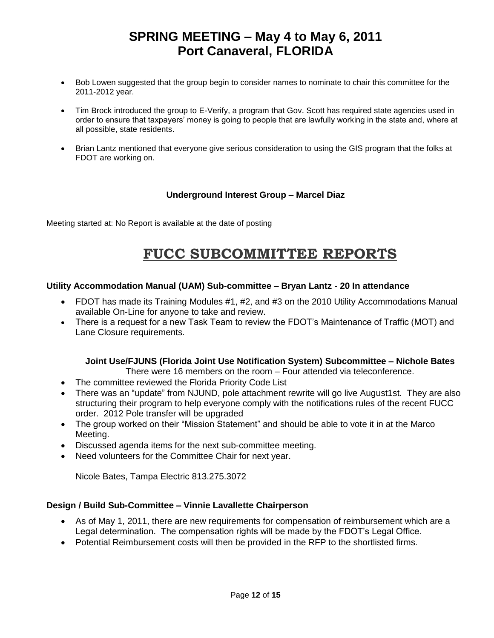- Bob Lowen suggested that the group begin to consider names to nominate to chair this committee for the 2011-2012 year.
- Tim Brock introduced the group to E-Verify, a program that Gov. Scott has required state agencies used in order to ensure that taxpayers' money is going to people that are lawfully working in the state and, where at all possible, state residents.
- Brian Lantz mentioned that everyone give serious consideration to using the GIS program that the folks at FDOT are working on.

### **Underground Interest Group – Marcel Diaz**

Meeting started at: No Report is available at the date of posting

## **FUCC SUBCOMMITTEE REPORTS**

#### **Utility Accommodation Manual (UAM) Sub-committee – Bryan Lantz - 20 In attendance**

- FDOT has made its Training Modules #1, #2, and #3 on the 2010 Utility Accommodations Manual available On-Line for anyone to take and review.
- There is a request for a new Task Team to review the FDOT's Maintenance of Traffic (MOT) and Lane Closure requirements.

### **Joint Use/FJUNS (Florida Joint Use Notification System) Subcommittee – Nichole Bates**

- There were 16 members on the room Four attended via teleconference.
- The committee reviewed the Florida Priority Code List
- There was an "update" from NJUND, pole attachment rewrite will go live August1st. They are also structuring their program to help everyone comply with the notifications rules of the recent FUCC order. 2012 Pole transfer will be upgraded
- The group worked on their "Mission Statement" and should be able to vote it in at the Marco Meeting.
- Discussed agenda items for the next sub-committee meeting.
- Need volunteers for the Committee Chair for next year.

Nicole Bates, Tampa Electric 813.275.3072

### **Design / Build Sub-Committee – Vinnie Lavallette Chairperson**

- As of May 1, 2011, there are new requirements for compensation of reimbursement which are a Legal determination. The compensation rights will be made by the FDOT's Legal Office.
- Potential Reimbursement costs will then be provided in the RFP to the shortlisted firms.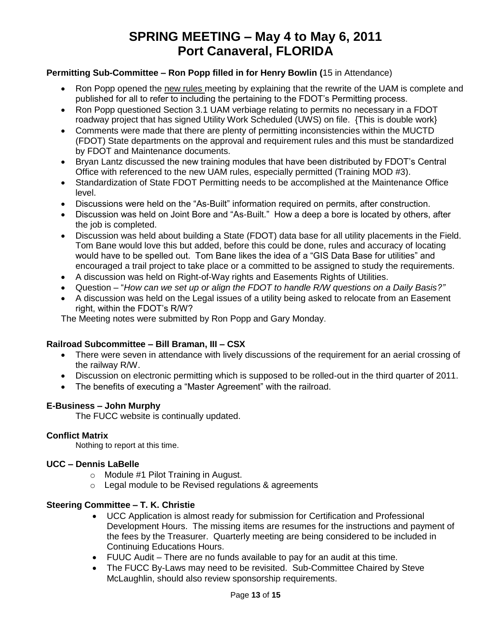### **Permitting Sub-Committee – Ron Popp filled in for Henry Bowlin (**15 in Attendance)

- Ron Popp opened the new rules meeting by explaining that the rewrite of the UAM is complete and published for all to refer to including the pertaining to the FDOT's Permitting process.
- Ron Popp questioned Section 3.1 UAM verbiage relating to permits no necessary in a FDOT roadway project that has signed Utility Work Scheduled (UWS) on file. {This is double work}
- Comments were made that there are plenty of permitting inconsistencies within the MUCTD (FDOT) State departments on the approval and requirement rules and this must be standardized by FDOT and Maintenance documents.
- Bryan Lantz discussed the new training modules that have been distributed by FDOT's Central Office with referenced to the new UAM rules, especially permitted (Training MOD #3).
- Standardization of State FDOT Permitting needs to be accomplished at the Maintenance Office level.
- Discussions were held on the "As-Built" information required on permits, after construction.
- Discussion was held on Joint Bore and "As-Built." How a deep a bore is located by others, after the job is completed.
- Discussion was held about building a State (FDOT) data base for all utility placements in the Field. Tom Bane would love this but added, before this could be done, rules and accuracy of locating would have to be spelled out. Tom Bane likes the idea of a "GIS Data Base for utilities" and encouraged a trail project to take place or a committed to be assigned to study the requirements.
- A discussion was held on Right-of-Way rights and Easements Rights of Utilities.
- Question "*How can we set up or align the FDOT to handle R/W questions on a Daily Basis?"*
- A discussion was held on the Legal issues of a utility being asked to relocate from an Easement right, within the FDOT's R/W?

The Meeting notes were submitted by Ron Popp and Gary Monday.

### **Railroad Subcommittee – Bill Braman, III – CSX**

- There were seven in attendance with lively discussions of the requirement for an aerial crossing of the railway R/W.
- Discussion on electronic permitting which is supposed to be rolled-out in the third quarter of 2011.
- The benefits of executing a "Master Agreement" with the railroad.

### **E-Business – John Murphy**

The FUCC website is continually updated.

### **Conflict Matrix**

Nothing to report at this time.

#### **UCC – Dennis LaBelle**

- o Module #1 Pilot Training in August.
- o Legal module to be Revised regulations & agreements

#### **Steering Committee – T. K. Christie**

- UCC Application is almost ready for submission for Certification and Professional Development Hours. The missing items are resumes for the instructions and payment of the fees by the Treasurer. Quarterly meeting are being considered to be included in Continuing Educations Hours.
- FUUC Audit There are no funds available to pay for an audit at this time.
- The FUCC By-Laws may need to be revisited. Sub-Committee Chaired by Steve McLaughlin, should also review sponsorship requirements.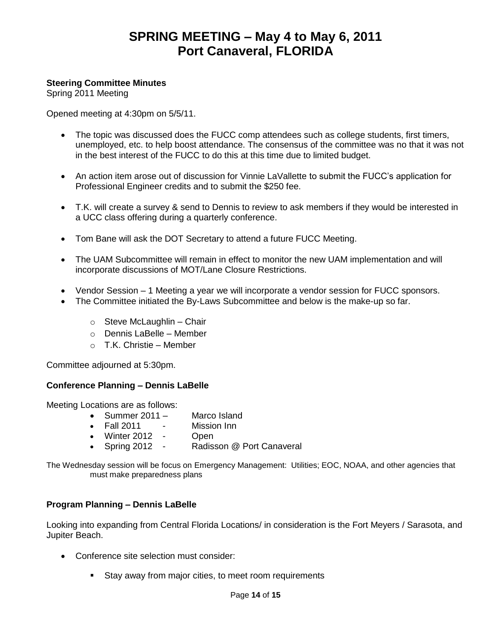### **Steering Committee Minutes**

Spring 2011 Meeting

Opened meeting at 4:30pm on 5/5/11.

- The topic was discussed does the FUCC comp attendees such as college students, first timers, unemployed, etc. to help boost attendance. The consensus of the committee was no that it was not in the best interest of the FUCC to do this at this time due to limited budget.
- An action item arose out of discussion for Vinnie LaVallette to submit the FUCC's application for Professional Engineer credits and to submit the \$250 fee.
- T.K. will create a survey & send to Dennis to review to ask members if they would be interested in a UCC class offering during a quarterly conference.
- Tom Bane will ask the DOT Secretary to attend a future FUCC Meeting.
- The UAM Subcommittee will remain in effect to monitor the new UAM implementation and will incorporate discussions of MOT/Lane Closure Restrictions.
- Vendor Session 1 Meeting a year we will incorporate a vendor session for FUCC sponsors.
- The Committee initiated the By-Laws Subcommittee and below is the make-up so far.
	- $\circ$  Steve McLaughlin Chair
	- o Dennis LaBelle Member
	- o T.K. Christie Member

Committee adjourned at 5:30pm.

#### **Conference Planning – Dennis LaBelle**

Meeting Locations are as follows:

- Summer 2011 Marco Island
- Fall 2011 Mission Inn
- Winter 2012 Open
- Spring 2012 Radisson @ Port Canaveral

The Wednesday session will be focus on Emergency Management: Utilities; EOC, NOAA, and other agencies that must make preparedness plans

### **Program Planning – Dennis LaBelle**

Looking into expanding from Central Florida Locations/ in consideration is the Fort Meyers / Sarasota, and Jupiter Beach.

- Conference site selection must consider:
	- Stay away from major cities, to meet room requirements